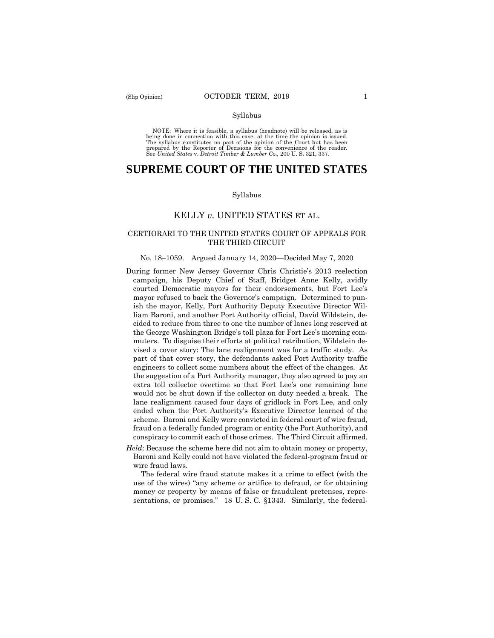#### Syllabus

 NOTE: Where it is feasible, a syllabus (headnote) will be released, as is being done in connection with this case, at the time the opinion is issued. The syllabus constitutes no part of the opinion of the Court but has been<br>prepared by the Reporter of Decisions for the convenience of the reader.<br>See United States v. Detroit Timber & Lumber Co., 200 U.S. 321, 337.

# **SUPREME COURT OF THE UNITED STATES**

#### Syllabus

### KELLY *v*. UNITED STATES ET AL.

# CERTIORARI TO THE UNITED STATES COURT OF APPEALS FOR THE THIRD CIRCUIT

#### No. 18–1059. Argued January 14, 2020—Decided May 7, 2020

- During former New Jersey Governor Chris Christie's 2013 reelection campaign, his Deputy Chief of Staff, Bridget Anne Kelly, avidly courted Democratic mayors for their endorsements, but Fort Lee's mayor refused to back the Governor's campaign. Determined to punish the mayor, Kelly, Port Authority Deputy Executive Director William Baroni, and another Port Authority official, David Wildstein, decided to reduce from three to one the number of lanes long reserved at the George Washington Bridge's toll plaza for Fort Lee's morning commuters. To disguise their efforts at political retribution, Wildstein devised a cover story: The lane realignment was for a traffic study. As part of that cover story, the defendants asked Port Authority traffic engineers to collect some numbers about the effect of the changes. At the suggestion of a Port Authority manager, they also agreed to pay an extra toll collector overtime so that Fort Lee's one remaining lane would not be shut down if the collector on duty needed a break. The lane realignment caused four days of gridlock in Fort Lee, and only ended when the Port Authority's Executive Director learned of the scheme. Baroni and Kelly were convicted in federal court of wire fraud, fraud on a federally funded program or entity (the Port Authority), and conspiracy to commit each of those crimes. The Third Circuit affirmed.
- *Held*: Because the scheme here did not aim to obtain money or property, Baroni and Kelly could not have violated the federal-program fraud or wire fraud laws.

The federal wire fraud statute makes it a crime to effect (with the use of the wires) "any scheme or artifice to defraud, or for obtaining money or property by means of false or fraudulent pretenses, representations, or promises." 18 U.S.C. §1343. Similarly, the federal-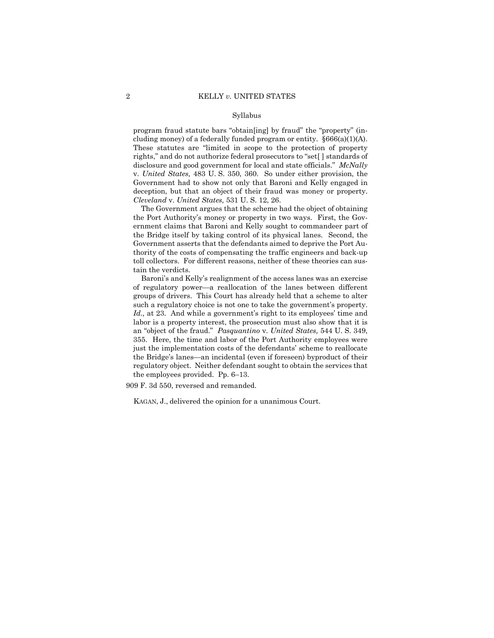#### Syllabus

 disclosure and good government for local and state officials." *McNally*  program fraud statute bars "obtain[ing] by fraud" the "property" (including money) of a federally funded program or entity. §666(a)(1)(A). These statutes are "limited in scope to the protection of property rights," and do not authorize federal prosecutors to "set[ ] standards of v. *United States,* 483 U. S. 350, 360. So under either provision, the Government had to show not only that Baroni and Kelly engaged in deception, but that an object of their fraud was money or property. *Cleveland* v. *United States,* 531 U. S. 12, 26.

The Government argues that the scheme had the object of obtaining the Port Authority's money or property in two ways. First, the Government claims that Baroni and Kelly sought to commandeer part of the Bridge itself by taking control of its physical lanes. Second, the Government asserts that the defendants aimed to deprive the Port Authority of the costs of compensating the traffic engineers and back-up toll collectors. For different reasons, neither of these theories can sustain the verdicts.

Baroni's and Kelly's realignment of the access lanes was an exercise of regulatory power—a reallocation of the lanes between different groups of drivers. This Court has already held that a scheme to alter such a regulatory choice is not one to take the government's property. *Id.,* at 23. And while a government's right to its employees' time and labor is a property interest, the prosecution must also show that it is an "object of the fraud." *Pasquantino* v. *United States,* 544 U. S. 349, 355. Here, the time and labor of the Port Authority employees were just the implementation costs of the defendants' scheme to reallocate the Bridge's lanes—an incidental (even if foreseen) byproduct of their regulatory object. Neither defendant sought to obtain the services that the employees provided. Pp. 6–13.

909 F. 3d 550, reversed and remanded.

KAGAN, J., delivered the opinion for a unanimous Court.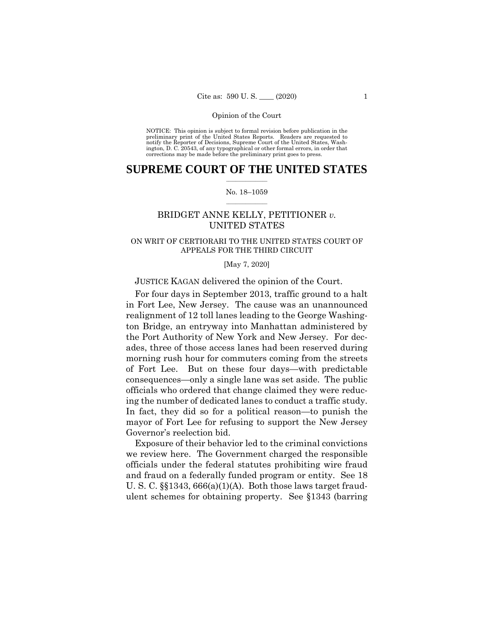NOTICE: This opinion is subject to formal revision before publication in the preliminary print of the United States Reports. Readers are requested to notify the Reporter of Decisions, Supreme Court of the United States, Wash-ington, D. C. 20543, of any typographical or other formal errors, in order that corrections may be made before the preliminary print goes to press.

# $\frac{1}{2}$  ,  $\frac{1}{2}$  ,  $\frac{1}{2}$  ,  $\frac{1}{2}$  ,  $\frac{1}{2}$  ,  $\frac{1}{2}$  ,  $\frac{1}{2}$ **SUPREME COURT OF THE UNITED STATES**

#### $\frac{1}{2}$  ,  $\frac{1}{2}$  ,  $\frac{1}{2}$  ,  $\frac{1}{2}$  ,  $\frac{1}{2}$  ,  $\frac{1}{2}$ No. 18–1059

# BRIDGET ANNE KELLY, PETITIONER *v.*  UNITED STATES

# ON WRIT OF CERTIORARI TO THE UNITED STATES COURT OF APPEALS FOR THE THIRD CIRCUIT

#### [May 7, 2020]

# JUSTICE KAGAN delivered the opinion of the Court.

 ing the number of dedicated lanes to conduct a traffic study. For four days in September 2013, traffic ground to a halt in Fort Lee, New Jersey. The cause was an unannounced realignment of 12 toll lanes leading to the George Washington Bridge, an entryway into Manhattan administered by the Port Authority of New York and New Jersey. For decades, three of those access lanes had been reserved during morning rush hour for commuters coming from the streets of Fort Lee. But on these four days—with predictable consequences—only a single lane was set aside. The public officials who ordered that change claimed they were reduc-In fact, they did so for a political reason—to punish the mayor of Fort Lee for refusing to support the New Jersey Governor's reelection bid.

Exposure of their behavior led to the criminal convictions we review here. The Government charged the responsible officials under the federal statutes prohibiting wire fraud and fraud on a federally funded program or entity. See 18 U. S. C. §§1343, 666(a)(1)(A). Both those laws target fraudulent schemes for obtaining property. See §1343 (barring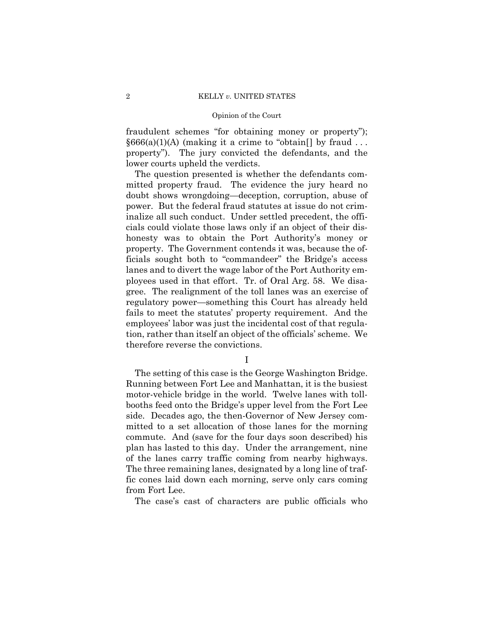fraudulent schemes "for obtaining money or property");  $§666(a)(1)(A)$  (making it a crime to "obtain[] by fraud ... property"). The jury convicted the defendants, and the lower courts upheld the verdicts.

The question presented is whether the defendants committed property fraud. The evidence the jury heard no doubt shows wrongdoing—deception, corruption, abuse of power. But the federal fraud statutes at issue do not criminalize all such conduct. Under settled precedent, the officials could violate those laws only if an object of their dishonesty was to obtain the Port Authority's money or property. The Government contends it was, because the officials sought both to "commandeer" the Bridge's access lanes and to divert the wage labor of the Port Authority employees used in that effort. Tr. of Oral Arg. 58. We disagree. The realignment of the toll lanes was an exercise of regulatory power—something this Court has already held fails to meet the statutes' property requirement. And the employees' labor was just the incidental cost of that regulation, rather than itself an object of the officials' scheme. We therefore reverse the convictions.

# I

The setting of this case is the George Washington Bridge. Running between Fort Lee and Manhattan, it is the busiest motor-vehicle bridge in the world. Twelve lanes with tollbooths feed onto the Bridge's upper level from the Fort Lee side. Decades ago, the then-Governor of New Jersey committed to a set allocation of those lanes for the morning commute. And (save for the four days soon described) his plan has lasted to this day. Under the arrangement, nine of the lanes carry traffic coming from nearby highways. The three remaining lanes, designated by a long line of traffic cones laid down each morning, serve only cars coming from Fort Lee.

The case's cast of characters are public officials who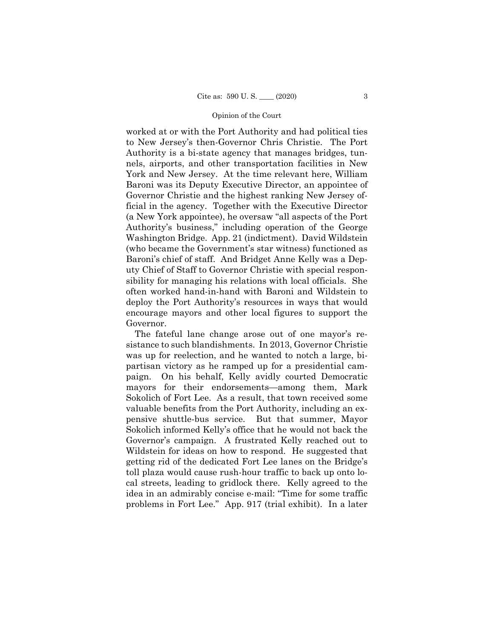worked at or with the Port Authority and had political ties to New Jersey's then-Governor Chris Christie. The Port Authority is a bi-state agency that manages bridges, tunnels, airports, and other transportation facilities in New York and New Jersey. At the time relevant here, William Baroni was its Deputy Executive Director, an appointee of Governor Christie and the highest ranking New Jersey official in the agency. Together with the Executive Director (a New York appointee), he oversaw "all aspects of the Port Authority's business," including operation of the George Washington Bridge. App. 21 (indictment). David Wildstein (who became the Government's star witness) functioned as Baroni's chief of staff. And Bridget Anne Kelly was a Deputy Chief of Staff to Governor Christie with special responsibility for managing his relations with local officials. She often worked hand-in-hand with Baroni and Wildstein to deploy the Port Authority's resources in ways that would encourage mayors and other local figures to support the Governor.

The fateful lane change arose out of one mayor's resistance to such blandishments. In 2013, Governor Christie was up for reelection, and he wanted to notch a large, bipartisan victory as he ramped up for a presidential campaign. On his behalf, Kelly avidly courted Democratic mayors for their endorsements—among them, Mark Sokolich of Fort Lee. As a result, that town received some valuable benefits from the Port Authority, including an expensive shuttle-bus service. But that summer, Mayor Sokolich informed Kelly's office that he would not back the Governor's campaign. A frustrated Kelly reached out to Wildstein for ideas on how to respond. He suggested that getting rid of the dedicated Fort Lee lanes on the Bridge's toll plaza would cause rush-hour traffic to back up onto local streets, leading to gridlock there. Kelly agreed to the idea in an admirably concise e-mail: "Time for some traffic problems in Fort Lee." App. 917 (trial exhibit). In a later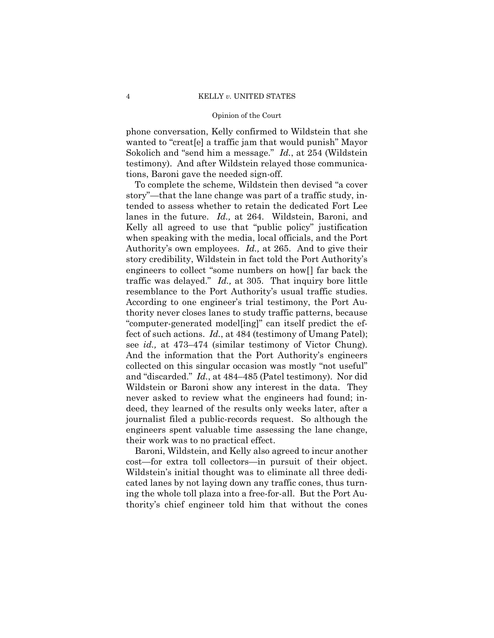Sokolich and "send him a message." *Id.*, at 254 (Wildstein phone conversation, Kelly confirmed to Wildstein that she wanted to "creat[e] a traffic jam that would punish" Mayor testimony). And after Wildstein relayed those communications, Baroni gave the needed sign-off.

To complete the scheme, Wildstein then devised "a cover story"—that the lane change was part of a traffic study, intended to assess whether to retain the dedicated Fort Lee lanes in the future. *Id.,* at 264. Wildstein, Baroni, and Kelly all agreed to use that "public policy" justification when speaking with the media, local officials, and the Port Authority's own employees. *Id.,* at 265. And to give their story credibility, Wildstein in fact told the Port Authority's engineers to collect "some numbers on how[] far back the traffic was delayed." *Id.,* at 305. That inquiry bore little resemblance to the Port Authority's usual traffic studies. According to one engineer's trial testimony, the Port Authority never closes lanes to study traffic patterns, because "computer-generated model[ing]" can itself predict the effect of such actions. *Id.*, at 484 (testimony of Umang Patel); see *id.,* at 473–474 (similar testimony of Victor Chung). And the information that the Port Authority's engineers collected on this singular occasion was mostly "not useful" and "discarded." *Id.*, at 484–485 (Patel testimony). Nor did Wildstein or Baroni show any interest in the data. They never asked to review what the engineers had found; indeed, they learned of the results only weeks later, after a journalist filed a public-records request. So although the engineers spent valuable time assessing the lane change, their work was to no practical effect.

 cost—for extra toll collectors—in pursuit of their object. Baroni, Wildstein, and Kelly also agreed to incur another Wildstein's initial thought was to eliminate all three dedicated lanes by not laying down any traffic cones, thus turning the whole toll plaza into a free-for-all. But the Port Authority's chief engineer told him that without the cones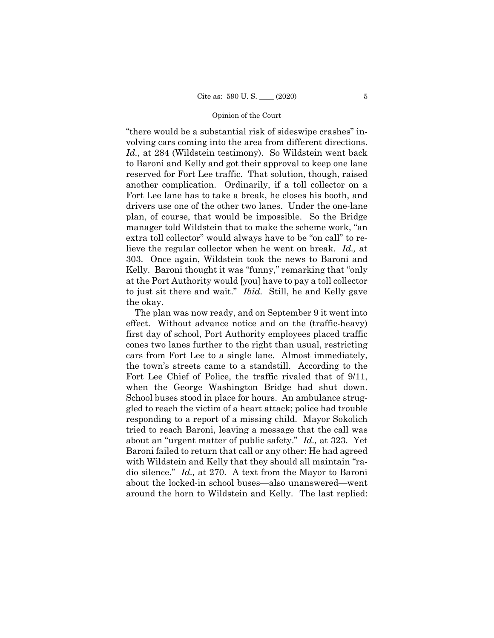"there would be a substantial risk of sideswipe crashes" involving cars coming into the area from different directions. *Id.*, at 284 (Wildstein testimony). So Wildstein went back to Baroni and Kelly and got their approval to keep one lane reserved for Fort Lee traffic. That solution, though, raised another complication. Ordinarily, if a toll collector on a Fort Lee lane has to take a break, he closes his booth, and drivers use one of the other two lanes. Under the one-lane plan, of course, that would be impossible. So the Bridge manager told Wildstein that to make the scheme work, "an extra toll collector" would always have to be "on call" to relieve the regular collector when he went on break. *Id.,* at 303. Once again, Wildstein took the news to Baroni and Kelly. Baroni thought it was "funny," remarking that "only at the Port Authority would [you] have to pay a toll collector to just sit there and wait." *Ibid.* Still, he and Kelly gave the okay.

 dio silence." *Id.,* at 270. A text from the Mayor to Baroni The plan was now ready, and on September 9 it went into effect. Without advance notice and on the (traffic-heavy) first day of school, Port Authority employees placed traffic cones two lanes further to the right than usual, restricting cars from Fort Lee to a single lane. Almost immediately, the town's streets came to a standstill. According to the Fort Lee Chief of Police, the traffic rivaled that of 9/11, when the George Washington Bridge had shut down. School buses stood in place for hours. An ambulance struggled to reach the victim of a heart attack; police had trouble responding to a report of a missing child. Mayor Sokolich tried to reach Baroni, leaving a message that the call was about an "urgent matter of public safety." *Id.,* at 323. Yet Baroni failed to return that call or any other: He had agreed with Wildstein and Kelly that they should all maintain "raabout the locked-in school buses—also unanswered—went around the horn to Wildstein and Kelly. The last replied: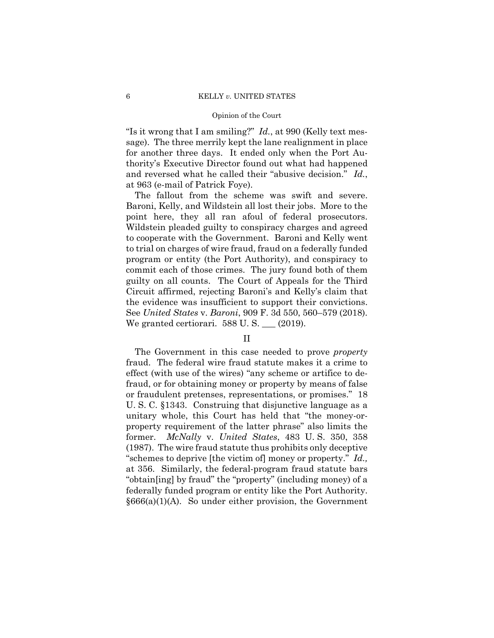"Is it wrong that I am smiling?" *Id.*, at 990 (Kelly text message). The three merrily kept the lane realignment in place for another three days. It ended only when the Port Authority's Executive Director found out what had happened and reversed what he called their "abusive decision." *Id.*, at 963 (e-mail of Patrick Foye).

The fallout from the scheme was swift and severe. Baroni, Kelly, and Wildstein all lost their jobs. More to the point here, they all ran afoul of federal prosecutors. Wildstein pleaded guilty to conspiracy charges and agreed to cooperate with the Government. Baroni and Kelly went to trial on charges of wire fraud, fraud on a federally funded program or entity (the Port Authority), and conspiracy to commit each of those crimes. The jury found both of them guilty on all counts. The Court of Appeals for the Third Circuit affirmed, rejecting Baroni's and Kelly's claim that the evidence was insufficient to support their convictions. See *United States* v. *Baroni*, 909 F. 3d 550, 560–579 (2018). We granted certiorari. 588 U. S. \_\_\_ (2019).

# II

The Government in this case needed to prove *property* fraud. The federal wire fraud statute makes it a crime to effect (with use of the wires) "any scheme or artifice to defraud, or for obtaining money or property by means of false or fraudulent pretenses, representations, or promises." 18 U. S. C. §1343. Construing that disjunctive language as a unitary whole, this Court has held that "the money-orproperty requirement of the latter phrase" also limits the former. *McNally* v. *United States*, 483 U. S. 350, 358 (1987). The wire fraud statute thus prohibits only deceptive "schemes to deprive [the victim of] money or property." *Id.,*  at 356. Similarly, the federal-program fraud statute bars "obtain[ing] by fraud" the "property" (including money) of a federally funded program or entity like the Port Authority.  $§666(a)(1)(A)$ . So under either provision, the Government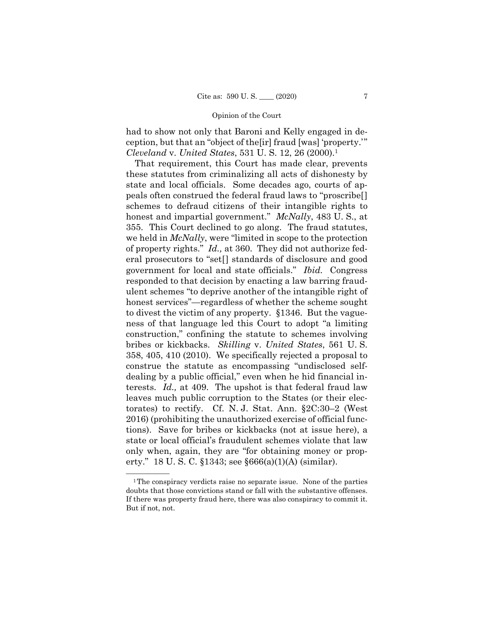had to show not only that Baroni and Kelly engaged in deception, but that an "object of the[ir] fraud [was] 'property.'" *Cleveland* v. *United States*, 531 U. S. 12, 26 (2000).<sup>1</sup>

That requirement, this Court has made clear, prevents these statutes from criminalizing all acts of dishonesty by state and local officials. Some decades ago, courts of appeals often construed the federal fraud laws to "proscribe[] schemes to defraud citizens of their intangible rights to honest and impartial government." *McNally*, 483 U. S., at 355. This Court declined to go along. The fraud statutes, we held in *McNally*, were "limited in scope to the protection of property rights." *Id.,* at 360. They did not authorize federal prosecutors to "set[] standards of disclosure and good government for local and state officials." *Ibid.* Congress responded to that decision by enacting a law barring fraudulent schemes "to deprive another of the intangible right of honest services"—regardless of whether the scheme sought to divest the victim of any property. §1346. But the vagueness of that language led this Court to adopt "a limiting construction," confining the statute to schemes involving bribes or kickbacks. *Skilling* v. *United States*, 561 U. S. 358, 405, 410 (2010). We specifically rejected a proposal to construe the statute as encompassing "undisclosed selfdealing by a public official," even when he hid financial interests. *Id.,* at 409. The upshot is that federal fraud law leaves much public corruption to the States (or their electorates) to rectify. Cf. N. J. Stat. Ann. §2C:30–2 (West 2016) (prohibiting the unauthorized exercise of official functions). Save for bribes or kickbacks (not at issue here), a state or local official's fraudulent schemes violate that law only when, again, they are "for obtaining money or property." 18 U. S. C. §1343; see §666(a)(1)(A) (similar).

 If there was property fraud here, there was also conspiracy to commit it.  $1$ The conspiracy verdicts raise no separate issue. None of the parties doubts that those convictions stand or fall with the substantive offenses. But if not, not.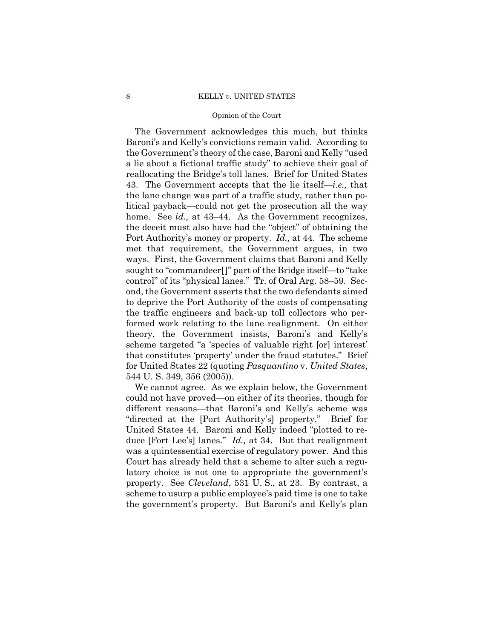#### 8 KELLY *v.* UNITED STATES

#### Opinion of the Court

 Port Authority's money or property. *Id.,* at 44. The scheme The Government acknowledges this much, but thinks Baroni's and Kelly's convictions remain valid. According to the Government's theory of the case, Baroni and Kelly "used a lie about a fictional traffic study" to achieve their goal of reallocating the Bridge's toll lanes. Brief for United States 43. The Government accepts that the lie itself—*i.e.,* that the lane change was part of a traffic study, rather than political payback—could not get the prosecution all the way home. See *id.*, at 43–44. As the Government recognizes, the deceit must also have had the "object" of obtaining the met that requirement, the Government argues, in two ways. First, the Government claims that Baroni and Kelly sought to "commandeer[]" part of the Bridge itself—to "take control" of its "physical lanes." Tr. of Oral Arg. 58–59. Second, the Government asserts that the two defendants aimed to deprive the Port Authority of the costs of compensating the traffic engineers and back-up toll collectors who performed work relating to the lane realignment. On either theory, the Government insists, Baroni's and Kelly's scheme targeted "a 'species of valuable right [or] interest' that constitutes 'property' under the fraud statutes." Brief for United States 22 (quoting *Pasquantino* v. *United States*, 544 U. S. 349, 356 (2005)).

We cannot agree. As we explain below, the Government could not have proved—on either of its theories, though for different reasons—that Baroni's and Kelly's scheme was "directed at the [Port Authority's] property." Brief for United States 44. Baroni and Kelly indeed "plotted to reduce [Fort Lee's] lanes." *Id.,* at 34. But that realignment was a quintessential exercise of regulatory power. And this Court has already held that a scheme to alter such a regulatory choice is not one to appropriate the government's property. See *Cleveland*, 531 U. S., at 23. By contrast, a scheme to usurp a public employee's paid time is one to take the government's property. But Baroni's and Kelly's plan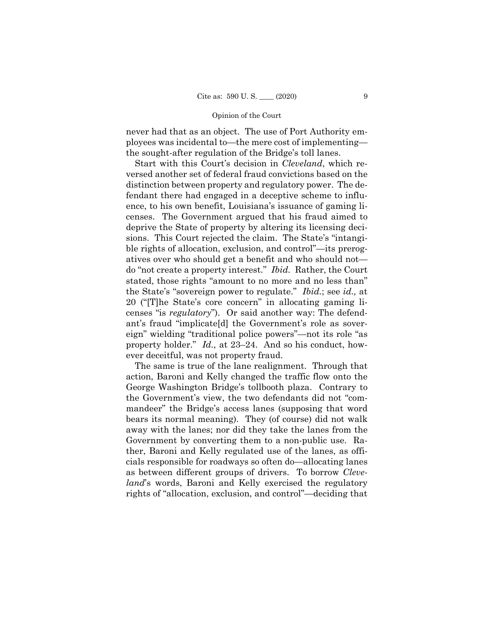never had that as an object. The use of Port Authority employees was incidental to—the mere cost of implementing the sought-after regulation of the Bridge's toll lanes.

Start with this Court's decision in *Cleveland*, which reversed another set of federal fraud convictions based on the distinction between property and regulatory power. The defendant there had engaged in a deceptive scheme to influence, to his own benefit, Louisiana's issuance of gaming licenses. The Government argued that his fraud aimed to deprive the State of property by altering its licensing decisions. This Court rejected the claim. The State's "intangible rights of allocation, exclusion, and control"—its prerogatives over who should get a benefit and who should not do "not create a property interest." *Ibid.* Rather, the Court stated, those rights "amount to no more and no less than" the State's "sovereign power to regulate." *Ibid.*; see *id.,* at 20 ("[T]he State's core concern" in allocating gaming licenses "is *regulatory*"). Or said another way: The defendant's fraud "implicate[d] the Government's role as sovereign" wielding "traditional police powers"—not its role "as property holder." *Id.,* at 23–24. And so his conduct, however deceitful, was not property fraud.

The same is true of the lane realignment. Through that action, Baroni and Kelly changed the traffic flow onto the George Washington Bridge's tollbooth plaza. Contrary to the Government's view, the two defendants did not "commandeer" the Bridge's access lanes (supposing that word bears its normal meaning). They (of course) did not walk away with the lanes; nor did they take the lanes from the Government by converting them to a non-public use. Rather, Baroni and Kelly regulated use of the lanes, as officials responsible for roadways so often do—allocating lanes as between different groups of drivers. To borrow *Cleveland*'s words, Baroni and Kelly exercised the regulatory rights of "allocation, exclusion, and control"—deciding that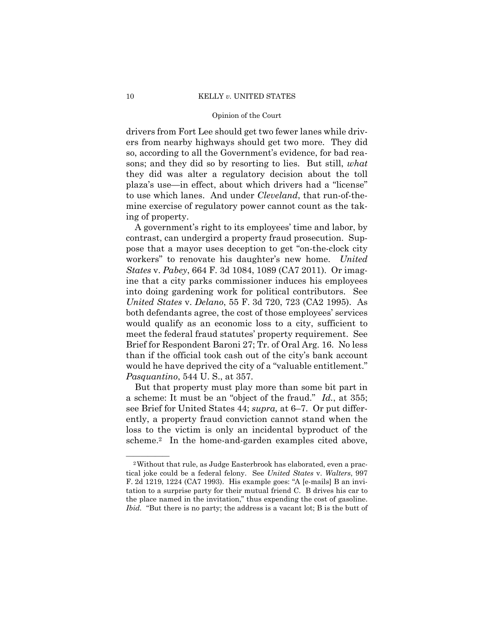drivers from Fort Lee should get two fewer lanes while drivers from nearby highways should get two more. They did so, according to all the Government's evidence, for bad reasons; and they did so by resorting to lies. But still, *what*  they did was alter a regulatory decision about the toll plaza's use—in effect, about which drivers had a "license" to use which lanes. And under *Cleveland*, that run-of-themine exercise of regulatory power cannot count as the taking of property.

A government's right to its employees' time and labor, by contrast, can undergird a property fraud prosecution. Suppose that a mayor uses deception to get "on-the-clock city workers" to renovate his daughter's new home. *United States* v. *Pabey*, 664 F. 3d 1084, 1089 (CA7 2011). Or imagine that a city parks commissioner induces his employees into doing gardening work for political contributors. See *United States* v. *Delano*, 55 F. 3d 720, 723 (CA2 1995). As both defendants agree, the cost of those employees' services would qualify as an economic loss to a city, sufficient to meet the federal fraud statutes' property requirement. See Brief for Respondent Baroni 27; Tr. of Oral Arg. 16. No less than if the official took cash out of the city's bank account would he have deprived the city of a "valuable entitlement." *Pasquantino*, 544 U. S., at 357.

But that property must play more than some bit part in a scheme: It must be an "object of the fraud." *Id.*, at 355; see Brief for United States 44; *supra,* at 6–7. Or put differently, a property fraud conviction cannot stand when the loss to the victim is only an incidental byproduct of the scheme.2 In the home-and-garden examples cited above,

<sup>&</sup>lt;sup>2</sup>Without that rule, as Judge Easterbrook has elaborated, even a practical joke could be a federal felony. See *United States* v. *Walters*, 997 F. 2d 1219, 1224 (CA7 1993). His example goes: "A [e-mails] B an invitation to a surprise party for their mutual friend C. B drives his car to the place named in the invitation," thus expending the cost of gasoline. *Ibid.* "But there is no party; the address is a vacant lot; B is the butt of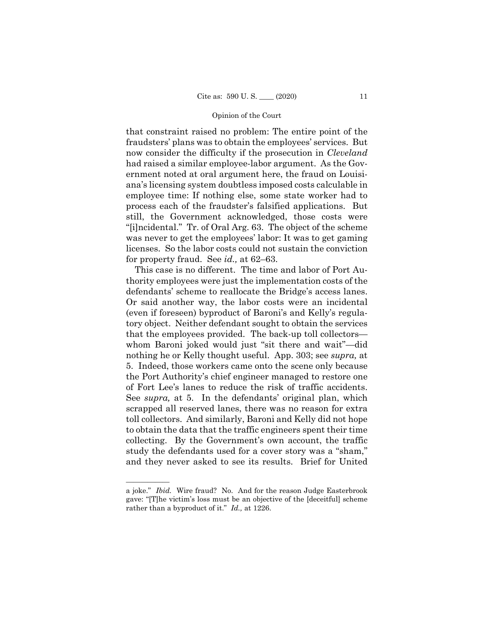that constraint raised no problem: The entire point of the fraudsters' plans was to obtain the employees' services. But now consider the difficulty if the prosecution in *Cleveland*  had raised a similar employee-labor argument. As the Government noted at oral argument here, the fraud on Louisiana's licensing system doubtless imposed costs calculable in employee time: If nothing else, some state worker had to process each of the fraudster's falsified applications. But still, the Government acknowledged, those costs were "[i]ncidental." Tr. of Oral Arg. 63. The object of the scheme was never to get the employees' labor: It was to get gaming licenses. So the labor costs could not sustain the conviction for property fraud. See *id.,* at 62–63.

 tory object. Neither defendant sought to obtain the services of Fort Lee's lanes to reduce the risk of traffic accidents. This case is no different. The time and labor of Port Authority employees were just the implementation costs of the defendants' scheme to reallocate the Bridge's access lanes. Or said another way, the labor costs were an incidental (even if foreseen) byproduct of Baroni's and Kelly's regulathat the employees provided. The back-up toll collectors whom Baroni joked would just "sit there and wait"—did nothing he or Kelly thought useful. App. 303; see *supra,* at 5. Indeed, those workers came onto the scene only because the Port Authority's chief engineer managed to restore one See *supra*, at 5. In the defendants' original plan, which scrapped all reserved lanes, there was no reason for extra toll collectors. And similarly, Baroni and Kelly did not hope to obtain the data that the traffic engineers spent their time collecting. By the Government's own account, the traffic study the defendants used for a cover story was a "sham," and they never asked to see its results. Brief for United

——————

a joke." *Ibid.* Wire fraud? No. And for the reason Judge Easterbrook gave: "[T]he victim's loss must be an objective of the [deceitful] scheme rather than a byproduct of it." *Id.,* at 1226.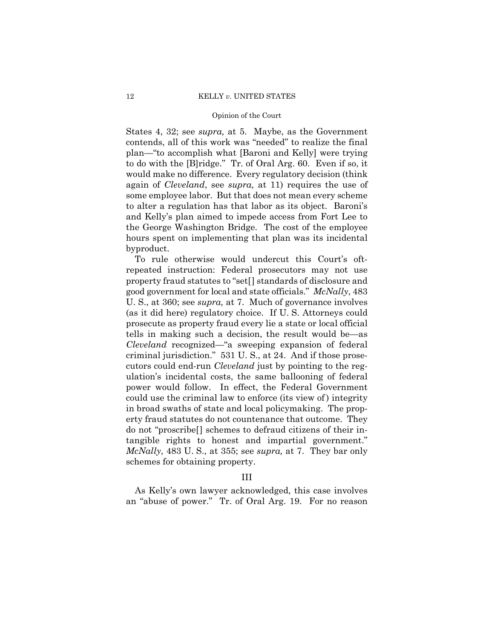to do with the [B]ridge." Tr. of Oral Arg. 60. Even if so, it States 4, 32; see *supra,* at 5. Maybe, as the Government contends, all of this work was "needed" to realize the final plan—"to accomplish what [Baroni and Kelly] were trying would make no difference. Every regulatory decision (think again of *Cleveland*, see *supra,* at 11) requires the use of some employee labor. But that does not mean every scheme to alter a regulation has that labor as its object. Baroni's and Kelly's plan aimed to impede access from Fort Lee to the George Washington Bridge. The cost of the employee hours spent on implementing that plan was its incidental byproduct.

To rule otherwise would undercut this Court's oftrepeated instruction: Federal prosecutors may not use property fraud statutes to "set[] standards of disclosure and good government for local and state officials." *McNally*, 483 U. S., at 360; see *supra,* at 7. Much of governance involves (as it did here) regulatory choice. If U. S. Attorneys could prosecute as property fraud every lie a state or local official tells in making such a decision, the result would be—as *Cleveland* recognized—"a sweeping expansion of federal criminal jurisdiction." 531 U. S., at 24. And if those prosecutors could end-run *Cleveland* just by pointing to the regulation's incidental costs, the same ballooning of federal power would follow. In effect, the Federal Government could use the criminal law to enforce (its view of ) integrity in broad swaths of state and local policymaking. The property fraud statutes do not countenance that outcome. They do not "proscribe[] schemes to defraud citizens of their intangible rights to honest and impartial government." *McNally*, 483 U. S., at 355; see *supra,* at 7. They bar only schemes for obtaining property.

# III

As Kelly's own lawyer acknowledged, this case involves an "abuse of power." Tr. of Oral Arg. 19. For no reason